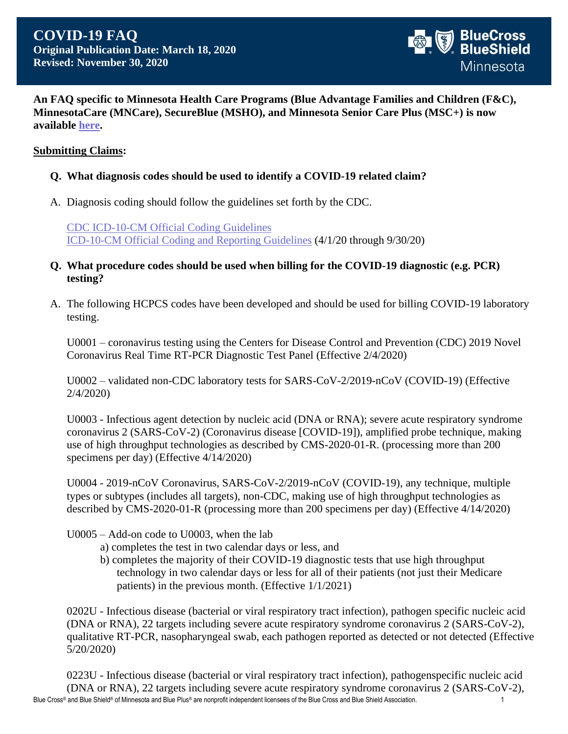

**An FAQ specific to Minnesota Health Care Programs (Blue Advantage Families and Children (F&C), MinnesotaCare (MNCare), SecureBlue (MSHO), and Minnesota Senior Care Plus (MSC+) is now available [here.](https://provider.publicprograms.bluecrossmn.com/docs/gpp/MNMN_ProviderCommuncations_COVID19_FAQ.pdf)**

#### **Submitting Claims:**

- **Q. What diagnosis codes should be used to identify a COVID-19 related claim?**
- A. Diagnosis coding should follow the guidelines set forth by the CDC.

[CDC ICD-10-CM Official Coding Guidelines](https://www.cdc.gov/nchs/data/icd/ICD-10-CM-Official-Coding-Gudance-Interim-Advice-coronavirus-feb-20-2020.pdf) [ICD-10-CM Official Coding and Reporting Guidelines](https://www.cdc.gov/nchs/data/icd/COVID-19-guidelines-final.pdf) (4/1/20 through 9/30/20)

- **Q. What procedure codes should be used when billing for the COVID-19 diagnostic (e.g. PCR) testing?**
- A. The following HCPCS codes have been developed and should be used for billing COVID-19 laboratory testing.

U0001 – coronavirus testing using the Centers for Disease Control and Prevention (CDC) 2019 Novel Coronavirus Real Time RT-PCR Diagnostic Test Panel (Effective 2/4/2020)

U0002 – validated non-CDC laboratory tests for SARS-CoV-2/2019-nCoV (COVID-19) (Effective 2/4/2020)

U0003 - Infectious agent detection by nucleic acid (DNA or RNA); severe acute respiratory syndrome coronavirus 2 (SARS-CoV-2) (Coronavirus disease [COVID-19]), amplified probe technique, making use of high throughput technologies as described by CMS-2020-01-R. (processing more than 200 specimens per day) (Effective 4/14/2020)

U0004 - 2019-nCoV Coronavirus, SARS-CoV-2/2019-nCoV (COVID-19), any technique, multiple types or subtypes (includes all targets), non-CDC, making use of high throughput technologies as described by CMS-2020-01-R (processing more than 200 specimens per day) (Effective 4/14/2020)

U0005 – Add-on code to U0003, when the lab

- a) completes the test in two calendar days or less, and
- b) completes the majority of their COVID-19 diagnostic tests that use high throughput technology in two calendar days or less for all of their patients (not just their Medicare patients) in the previous month. (Effective 1/1/2021)

0202U - Infectious disease (bacterial or viral respiratory tract infection), pathogen specific nucleic acid (DNA or RNA), 22 targets including severe acute respiratory syndrome coronavirus 2 (SARS-CoV-2), qualitative RT-PCR, nasopharyngeal swab, each pathogen reported as detected or not detected (Effective 5/20/2020)

Blue Cross® and Blue Shield® of Minnesota and Blue Plus® are nonprofit independent licensees of the Blue Cross and Blue Shield Association. 1999 1999 1999 1999 1 0223U - Infectious disease (bacterial or viral respiratory tract infection), pathogenspecific nucleic acid (DNA or RNA), 22 targets including severe acute respiratory syndrome coronavirus 2 (SARS-CoV-2),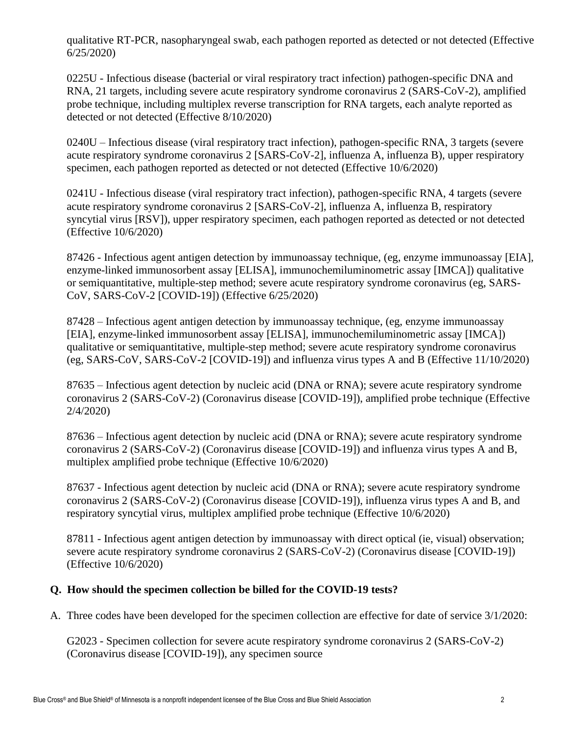qualitative RT-PCR, nasopharyngeal swab, each pathogen reported as detected or not detected (Effective 6/25/2020)

0225U - Infectious disease (bacterial or viral respiratory tract infection) pathogen-specific DNA and RNA, 21 targets, including severe acute respiratory syndrome coronavirus 2 (SARS-CoV-2), amplified probe technique, including multiplex reverse transcription for RNA targets, each analyte reported as detected or not detected (Effective 8/10/2020)

0240U – Infectious disease (viral respiratory tract infection), pathogen-specific RNA, 3 targets (severe acute respiratory syndrome coronavirus 2 [SARS-CoV-2], influenza A, influenza B), upper respiratory specimen, each pathogen reported as detected or not detected (Effective 10/6/2020)

0241U - Infectious disease (viral respiratory tract infection), pathogen-specific RNA, 4 targets (severe acute respiratory syndrome coronavirus 2 [SARS-CoV-2], influenza A, influenza B, respiratory syncytial virus [RSV]), upper respiratory specimen, each pathogen reported as detected or not detected (Effective 10/6/2020)

87426 - Infectious agent antigen detection by immunoassay technique, (eg, enzyme immunoassay [EIA], enzyme-linked immunosorbent assay [ELISA], immunochemiluminometric assay [IMCA]) qualitative or semiquantitative, multiple-step method; severe acute respiratory syndrome coronavirus (eg, SARS-CoV, SARS-CoV-2 [COVID-19]) (Effective 6/25/2020)

87428 – Infectious agent antigen detection by immunoassay technique, (eg, enzyme immunoassay [EIA], enzyme-linked immunosorbent assay [ELISA], immunochemiluminometric assay [IMCA]) qualitative or semiquantitative, multiple-step method; severe acute respiratory syndrome coronavirus (eg, SARS-CoV, SARS-CoV-2 [COVID-19]) and influenza virus types A and B (Effective 11/10/2020)

87635 *–* Infectious agent detection by nucleic acid (DNA or RNA); severe acute respiratory syndrome coronavirus 2 (SARS-CoV-2) (Coronavirus disease [COVID-19]), amplified probe technique (Effective 2/4/2020)

87636 – Infectious agent detection by nucleic acid (DNA or RNA); severe acute respiratory syndrome coronavirus 2 (SARS-CoV-2) (Coronavirus disease [COVID-19]) and influenza virus types A and B, multiplex amplified probe technique (Effective 10/6/2020)

87637 - Infectious agent detection by nucleic acid (DNA or RNA); severe acute respiratory syndrome coronavirus 2 (SARS-CoV-2) (Coronavirus disease [COVID-19]), influenza virus types A and B, and respiratory syncytial virus, multiplex amplified probe technique (Effective 10/6/2020)

87811 - Infectious agent antigen detection by immunoassay with direct optical (ie, visual) observation; severe acute respiratory syndrome coronavirus 2 (SARS-CoV-2) (Coronavirus disease [COVID-19]) (Effective 10/6/2020)

## **Q. How should the specimen collection be billed for the COVID-19 tests?**

A. Three codes have been developed for the specimen collection are effective for date of service 3/1/2020:

G2023 - Specimen collection for severe acute respiratory syndrome coronavirus 2 (SARS-CoV-2) (Coronavirus disease [COVID-19]), any specimen source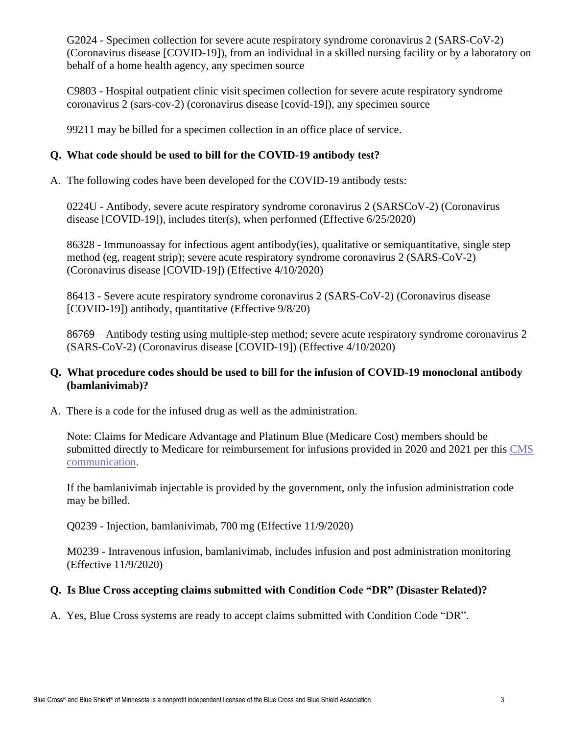G2024 - Specimen collection for severe acute respiratory syndrome coronavirus 2 (SARS-CoV-2) (Coronavirus disease [COVID-19]), from an individual in a skilled nursing facility or by a laboratory on behalf of a home health agency, any specimen source

C9803 *-* Hospital outpatient clinic visit specimen collection for severe acute respiratory syndrome coronavirus 2 (sars-cov-2) (coronavirus disease [covid-19]), any specimen source

99211 may be billed for a specimen collection in an office place of service.

## **Q. What code should be used to bill for the COVID-19 antibody test?**

A. The following codes have been developed for the COVID-19 antibody tests:

0224U - Antibody, severe acute respiratory syndrome coronavirus 2 (SARSCoV-2) (Coronavirus disease [COVID-19]), includes titer(s), when performed (Effective 6/25/2020)

86328 - Immunoassay for infectious agent antibody(ies), qualitative or semiquantitative, single step method (eg, reagent strip); severe acute respiratory syndrome coronavirus 2 (SARS-CoV-2) (Coronavirus disease [COVID-19]) (Effective 4/10/2020)

86413 - Severe acute respiratory syndrome coronavirus 2 (SARS-CoV-2) (Coronavirus disease [COVID-19]) antibody, quantitative (Effective 9/8/20)

86769 – Antibody testing using multiple-step method; severe acute respiratory syndrome coronavirus 2 (SARS-CoV-2) (Coronavirus disease [COVID-19]) (Effective 4/10/2020)

#### **Q. What procedure codes should be used to bill for the infusion of COVID-19 monoclonal antibody (bamlanivimab)?**

A. There is a code for the infused drug as well as the administration.

Note: Claims for Medicare Advantage and Platinum Blue (Medicare Cost) members should be submitted directly to Medicare for reimbursement for infusions provided in 2020 and 2021 per this [CMS](https://www.cms.gov/files/document/covid-medicare-monoclonal-antibody-infusion-program-instruction.pdf)  [communication.](https://www.cms.gov/files/document/covid-medicare-monoclonal-antibody-infusion-program-instruction.pdf)

If the bamlanivimab injectable is provided by the government, only the infusion administration code may be billed.

Q0239 - Injection, bamlanivimab, 700 mg (Effective 11/9/2020)

M0239 - Intravenous infusion, bamlanivimab, includes infusion and post administration monitoring (Effective 11/9/2020)

## **Q. Is Blue Cross accepting claims submitted with Condition Code "DR" (Disaster Related)?**

A. Yes, Blue Cross systems are ready to accept claims submitted with Condition Code "DR".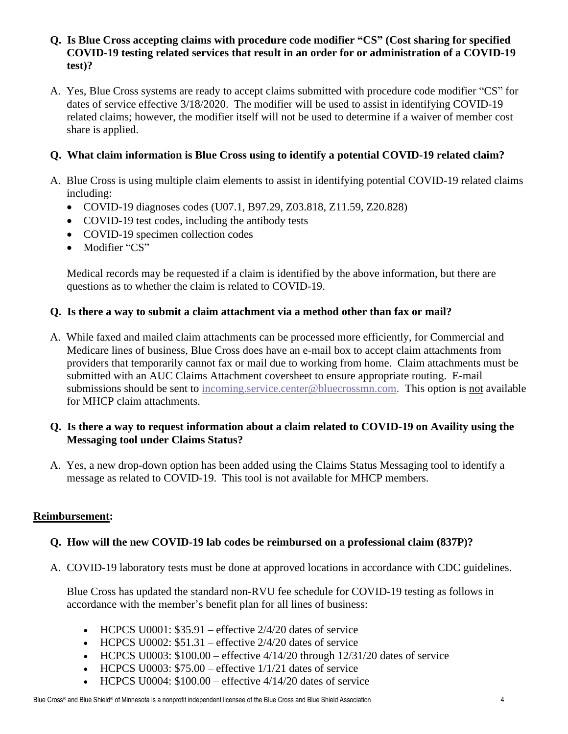#### **Q. Is Blue Cross accepting claims with procedure code modifier "CS" (Cost sharing for specified COVID-19 testing related services that result in an order for or administration of a COVID-19 test)?**

A. Yes, Blue Cross systems are ready to accept claims submitted with procedure code modifier "CS" for dates of service effective 3/18/2020. The modifier will be used to assist in identifying COVID-19 related claims; however, the modifier itself will not be used to determine if a waiver of member cost share is applied.

# **Q. What claim information is Blue Cross using to identify a potential COVID-19 related claim?**

- A. Blue Cross is using multiple claim elements to assist in identifying potential COVID-19 related claims including:
	- COVID-19 diagnoses codes (U07.1, B97.29, Z03.818, Z11.59, Z20.828)
	- COVID-19 test codes, including the antibody tests
	- COVID-19 specimen collection codes
	- Modifier "CS"

Medical records may be requested if a claim is identified by the above information, but there are questions as to whether the claim is related to COVID-19.

## **Q. Is there a way to submit a claim attachment via a method other than fax or mail?**

A. While faxed and mailed claim attachments can be processed more efficiently, for Commercial and Medicare lines of business, Blue Cross does have an e-mail box to accept claim attachments from providers that temporarily cannot fax or mail due to working from home. Claim attachments must be submitted with an AUC Claims Attachment coversheet to ensure appropriate routing. E-mail submissions should be sent to [incoming.service.center@bluecrossmn.com.](mailto:incoming.service.center@bluecrossmn.com) This option is not available for MHCP claim attachments.

## **Q. Is there a way to request information about a claim related to COVID-19 on Availity using the Messaging tool under Claims Status?**

A. Yes, a new drop-down option has been added using the Claims Status Messaging tool to identify a message as related to COVID-19. This tool is not available for MHCP members.

## **Reimbursement:**

# **Q. How will the new COVID-19 lab codes be reimbursed on a professional claim (837P)?**

A. COVID-19 laboratory tests must be done at approved locations in accordance with CDC guidelines.

Blue Cross has updated the standard non-RVU fee schedule for COVID-19 testing as follows in accordance with the member's benefit plan for all lines of business:

- HCPCS U0001:  $$35.91$  effective  $2/4/20$  dates of service
- HCPCS U0002:  $$51.31$  effective 2/4/20 dates of service
- HCPCS U0003:  $$100.00$  effective  $4/14/20$  through  $12/31/20$  dates of service
- HCPCS U0003:  $$75.00$  effective  $1/1/21$  dates of service
- HCPCS U0004:  $$100.00$  effective  $4/14/20$  dates of service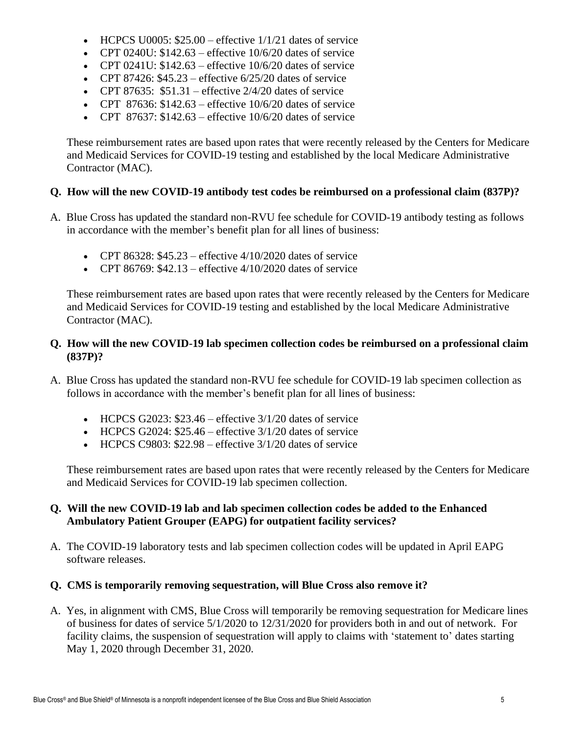- HCPCS U0005:  $$25.00$  effective  $1/1/21$  dates of service
- CPT 0240U:  $$142.63$  effective  $10/6/20$  dates of service
- CPT 0241U:  $$142.63$  effective 10/6/20 dates of service
- CPT 87426:  $$45.23$  effective  $6/25/20$  dates of service
- CPT 87635:  $$51.31$  effective 2/4/20 dates of service
- CPT 87636:  $$142.63$  effective  $10/6/20$  dates of service
- CPT 87637:  $$142.63$  effective  $10/6/20$  dates of service

These reimbursement rates are based upon rates that were recently released by the Centers for Medicare and Medicaid Services for COVID-19 testing and established by the local Medicare Administrative Contractor (MAC).

## **Q. How will the new COVID-19 antibody test codes be reimbursed on a professional claim (837P)?**

- A. Blue Cross has updated the standard non-RVU fee schedule for COVID-19 antibody testing as follows in accordance with the member's benefit plan for all lines of business:
	- CPT 86328:  $$45.23$  effective  $4/10/2020$  dates of service
	- CPT 86769:  $$42.13$  effective  $4/10/2020$  dates of service

These reimbursement rates are based upon rates that were recently released by the Centers for Medicare and Medicaid Services for COVID-19 testing and established by the local Medicare Administrative Contractor (MAC).

#### **Q. How will the new COVID-19 lab specimen collection codes be reimbursed on a professional claim (837P)?**

- A. Blue Cross has updated the standard non-RVU fee schedule for COVID-19 lab specimen collection as follows in accordance with the member's benefit plan for all lines of business:
	- HCPCS G2023:  $$23.46$  effective  $3/1/20$  dates of service
	- HCPCS G2024:  $$25.46$  effective  $3/1/20$  dates of service
	- HCPCS C9803:  $$22.98$  effective  $3/1/20$  dates of service

These reimbursement rates are based upon rates that were recently released by the Centers for Medicare and Medicaid Services for COVID-19 lab specimen collection.

## **Q. Will the new COVID-19 lab and lab specimen collection codes be added to the Enhanced Ambulatory Patient Grouper (EAPG) for outpatient facility services?**

A. The COVID-19 laboratory tests and lab specimen collection codes will be updated in April EAPG software releases.

## **Q. CMS is temporarily removing sequestration, will Blue Cross also remove it?**

A. Yes, in alignment with CMS, Blue Cross will temporarily be removing sequestration for Medicare lines of business for dates of service 5/1/2020 to 12/31/2020 for providers both in and out of network. For facility claims, the suspension of sequestration will apply to claims with 'statement to' dates starting May 1, 2020 through December 31, 2020.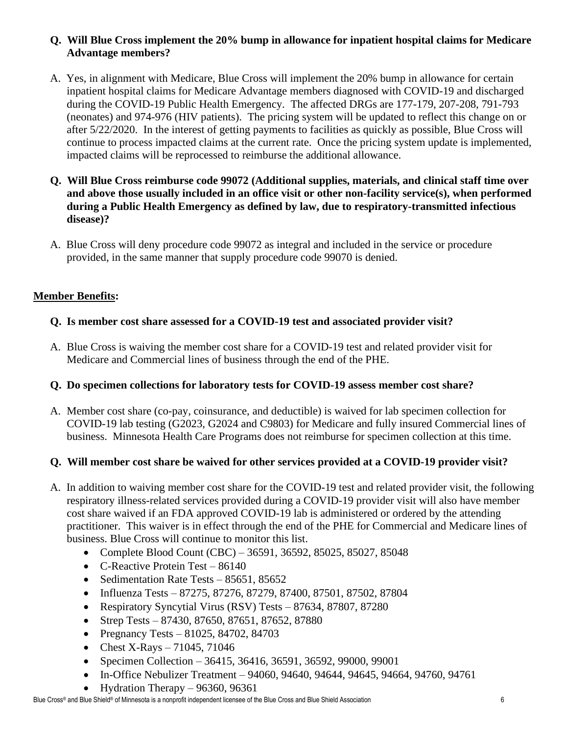## **Q. Will Blue Cross implement the 20% bump in allowance for inpatient hospital claims for Medicare Advantage members?**

- A. Yes, in alignment with Medicare, Blue Cross will implement the 20% bump in allowance for certain inpatient hospital claims for Medicare Advantage members diagnosed with COVID-19 and discharged during the COVID-19 Public Health Emergency. The affected DRGs are 177-179, 207-208, 791-793 (neonates) and 974-976 (HIV patients). The pricing system will be updated to reflect this change on or after 5/22/2020. In the interest of getting payments to facilities as quickly as possible, Blue Cross will continue to process impacted claims at the current rate. Once the pricing system update is implemented, impacted claims will be reprocessed to reimburse the additional allowance.
- **Q. Will Blue Cross reimburse code 99072 (Additional supplies, materials, and clinical staff time over and above those usually included in an office visit or other non-facility service(s), when performed during a Public Health Emergency as defined by law, due to respiratory-transmitted infectious disease)?**
- A. Blue Cross will deny procedure code 99072 as integral and included in the service or procedure provided, in the same manner that supply procedure code 99070 is denied.

## **Member Benefits:**

## **Q. Is member cost share assessed for a COVID-19 test and associated provider visit?**

A. Blue Cross is waiving the member cost share for a COVID-19 test and related provider visit for Medicare and Commercial lines of business through the end of the PHE.

## **Q. Do specimen collections for laboratory tests for COVID-19 assess member cost share?**

A. Member cost share (co-pay, coinsurance, and deductible) is waived for lab specimen collection for COVID-19 lab testing (G2023, G2024 and C9803) for Medicare and fully insured Commercial lines of business. Minnesota Health Care Programs does not reimburse for specimen collection at this time.

## **Q. Will member cost share be waived for other services provided at a COVID-19 provider visit?**

- A. In addition to waiving member cost share for the COVID-19 test and related provider visit, the following respiratory illness-related services provided during a COVID-19 provider visit will also have member cost share waived if an FDA approved COVID-19 lab is administered or ordered by the attending practitioner. This waiver is in effect through the end of the PHE for Commercial and Medicare lines of business. Blue Cross will continue to monitor this list.
	- Complete Blood Count (CBC) 36591, 36592, 85025, 85027, 85048
	- C-Reactive Protein Test 86140
	- Sedimentation Rate Tests 85651, 85652
	- Influenza Tests 87275, 87276, 87279, 87400, 87501, 87502, 87804
	- Respiratory Syncytial Virus (RSV) Tests 87634, 87807, 87280
	- Strep Tests 87430, 87650, 87651, 87652, 87880
	- Pregnancy Tests  $81025, 84702, 84703$
	- Chest X-Rays  $71045, 71046$
	- Specimen Collection 36415, 36416, 36591, 36592, 99000, 99001
	- In-Office Nebulizer Treatment 94060, 94640, 94644, 94645, 94664, 94760, 94761
	- Hydration Therapy  $-96360, 96361$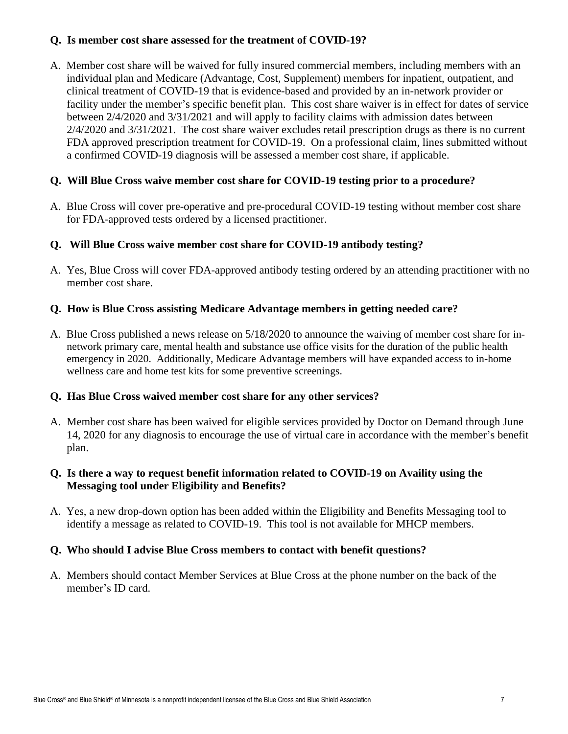#### **Q. Is member cost share assessed for the treatment of COVID-19?**

A. Member cost share will be waived for fully insured commercial members, including members with an individual plan and Medicare (Advantage, Cost, Supplement) members for inpatient, outpatient, and clinical treatment of COVID-19 that is evidence-based and provided by an in-network provider or facility under the member's specific benefit plan. This cost share waiver is in effect for dates of service between 2/4/2020 and 3/31/2021 and will apply to facility claims with admission dates between 2/4/2020 and 3/31/2021. The cost share waiver excludes retail prescription drugs as there is no current FDA approved prescription treatment for COVID-19. On a professional claim, lines submitted without a confirmed COVID-19 diagnosis will be assessed a member cost share, if applicable.

#### **Q. Will Blue Cross waive member cost share for COVID-19 testing prior to a procedure?**

A. Blue Cross will cover pre-operative and pre-procedural COVID-19 testing without member cost share for FDA-approved tests ordered by a licensed practitioner.

#### **Q. Will Blue Cross waive member cost share for COVID-19 antibody testing?**

A. Yes, Blue Cross will cover FDA-approved antibody testing ordered by an attending practitioner with no member cost share.

#### **Q. How is Blue Cross assisting Medicare Advantage members in getting needed care?**

A. Blue Cross published a [news release](https://www.bluecrossmn.com/about-us/newsroom/news-releases/blue-cross-and-blue-shield-minnesota-increases-access-care-medicare) on 5/18/2020 to announce the waiving of member cost share for innetwork primary care, mental health and substance use office visits for the duration of the public health emergency in 2020. Additionally, Medicare Advantage members will have expanded access to in-home wellness care and home test kits for some preventive screenings.

#### **Q. Has Blue Cross waived member cost share for any other services?**

A. Member cost share has been waived for eligible services provided by Doctor on Demand through June 14, 2020 for any diagnosis to encourage the use of virtual care in accordance with the member's benefit plan.

#### **Q. Is there a way to request benefit information related to COVID-19 on Availity using the Messaging tool under Eligibility and Benefits?**

A. Yes, a new drop-down option has been added within the Eligibility and Benefits Messaging tool to identify a message as related to COVID-19. This tool is not available for MHCP members.

#### **Q. Who should I advise Blue Cross members to contact with benefit questions?**

A. Members should contact Member Services at Blue Cross at the phone number on the back of the member's ID card.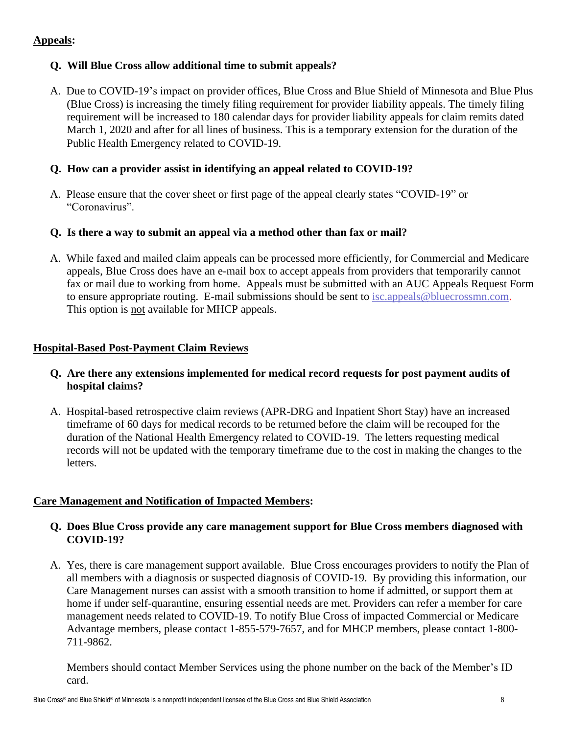## **Appeals:**

## **Q. Will Blue Cross allow additional time to submit appeals?**

A. Due to COVID-19's impact on provider offices, Blue Cross and Blue Shield of Minnesota and Blue Plus (Blue Cross) is increasing the timely filing requirement for provider liability appeals. The timely filing requirement will be increased to 180 calendar days for provider liability appeals for claim remits dated March 1, 2020 and after for all lines of business. This is a temporary extension for the duration of the Public Health Emergency related to COVID-19.

## **Q. How can a provider assist in identifying an appeal related to COVID-19?**

A. Please ensure that the cover sheet or first page of the appeal clearly states "COVID-19" or "Coronavirus".

## **Q. Is there a way to submit an appeal via a method other than fax or mail?**

A. While faxed and mailed claim appeals can be processed more efficiently, for Commercial and Medicare appeals, Blue Cross does have an e-mail box to accept appeals from providers that temporarily cannot fax or mail due to working from home. Appeals must be submitted with an AUC Appeals Request Form to ensure appropriate routing. E-mail submissions should be sent to [isc.appeals@bluecrossmn.com.](mailto:isc.appeals@bluecrossmn.com) This option is not available for MHCP appeals.

## **Hospital-Based Post-Payment Claim Reviews**

## **Q. Are there any extensions implemented for medical record requests for post payment audits of hospital claims?**

A. Hospital-based retrospective claim reviews (APR-DRG and Inpatient Short Stay) have an increased timeframe of 60 days for medical records to be returned before the claim will be recouped for the duration of the National Health Emergency related to COVID-19. The letters requesting medical records will not be updated with the temporary timeframe due to the cost in making the changes to the letters.

## **Care Management and Notification of Impacted Members:**

## **Q. Does Blue Cross provide any care management support for Blue Cross members diagnosed with COVID-19?**

A. Yes, there is care management support available. Blue Cross encourages providers to notify the Plan of all members with a diagnosis or suspected diagnosis of COVID-19. By providing this information, our Care Management nurses can assist with a smooth transition to home if admitted, or support them at home if under self-quarantine, ensuring essential needs are met. Providers can refer a member for care management needs related to COVID-19. To notify Blue Cross of impacted Commercial or Medicare Advantage members, please contact 1-855-579-7657, and for MHCP members, please contact 1-800- 711-9862.

Members should contact Member Services using the phone number on the back of the Member's ID card.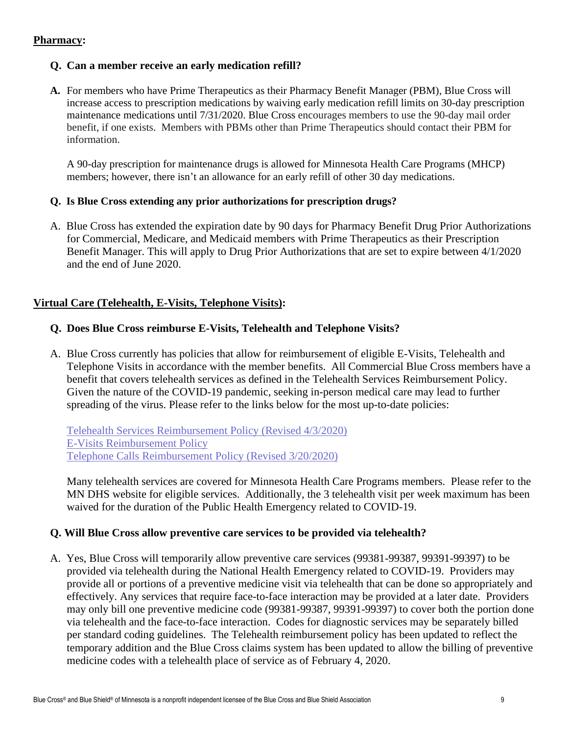#### **Pharmacy:**

#### **Q. Can a member receive an early medication refill?**

**A.** For members who have Prime Therapeutics as their Pharmacy Benefit Manager (PBM), Blue Cross will increase access to prescription medications by waiving early medication refill limits on 30-day prescription maintenance medications until 7/31/2020. Blue Cross encourages members to use the 90-day mail order benefit, if one exists. Members with PBMs other than Prime Therapeutics should contact their PBM for information.

A 90-day prescription for maintenance drugs is allowed for Minnesota Health Care Programs (MHCP) members; however, there isn't an allowance for an early refill of other 30 day medications.

#### **Q. Is Blue Cross extending any prior authorizations for prescription drugs?**

A. Blue Cross has extended the expiration date by 90 days for Pharmacy Benefit Drug Prior Authorizations for Commercial, Medicare, and Medicaid members with Prime Therapeutics as their Prescription Benefit Manager. This will apply to Drug Prior Authorizations that are set to expire between 4/1/2020 and the end of June 2020.

#### **Virtual Care (Telehealth, E-Visits, Telephone Visits):**

#### **Q. Does Blue Cross reimburse E-Visits, Telehealth and Telephone Visits?**

A. Blue Cross currently has policies that allow for reimbursement of eligible E-Visits, Telehealth and Telephone Visits in accordance with the member benefits. All Commercial Blue Cross members have a benefit that covers telehealth services as defined in the Telehealth Services Reimbursement Policy. Given the nature of the COVID-19 pandemic, seeking in-person medical care may lead to further spreading of the virus. Please refer to the links below for the most up-to-date policies:

[Telehealth Services Reimbursement Policy](https://www.bluecrossmn.com/healthy/public/portalcomponents/PublicContentServlet?contentId=P11GA_12332836) (Revised 4/3/2020) [E-Visits Reimbursement Policy](https://www.bluecrossmn.com/healthy/public/portalcomponents/PublicContentServlet?contentId=P11GA_12397422) Telephone Calls [Reimbursement Policy \(Revised 3/20/2020\)](https://www.bluecrossmn.com/healthy/public/portalcomponents/PublicContentServlet?contentId=P11GA_15515181)

Many telehealth services are covered for Minnesota Health Care Programs members. Please refer to the MN DHS website for eligible services. Additionally, the 3 telehealth visit per week maximum has been waived for the duration of the Public Health Emergency related to COVID-19.

#### **Q. Will Blue Cross allow preventive care services to be provided via telehealth?**

A. Yes, Blue Cross will temporarily allow preventive care services (99381-99387, 99391-99397) to be provided via telehealth during the National Health Emergency related to COVID-19. Providers may provide all or portions of a preventive medicine visit via telehealth that can be done so appropriately and effectively. Any services that require face-to-face interaction may be provided at a later date. Providers may only bill one preventive medicine code (99381-99387, 99391-99397) to cover both the portion done via telehealth and the face-to-face interaction. Codes for diagnostic services may be separately billed per standard coding guidelines. The Telehealth reimbursement policy has been updated to reflect the temporary addition and the Blue Cross claims system has been updated to allow the billing of preventive medicine codes with a telehealth place of service as of February 4, 2020.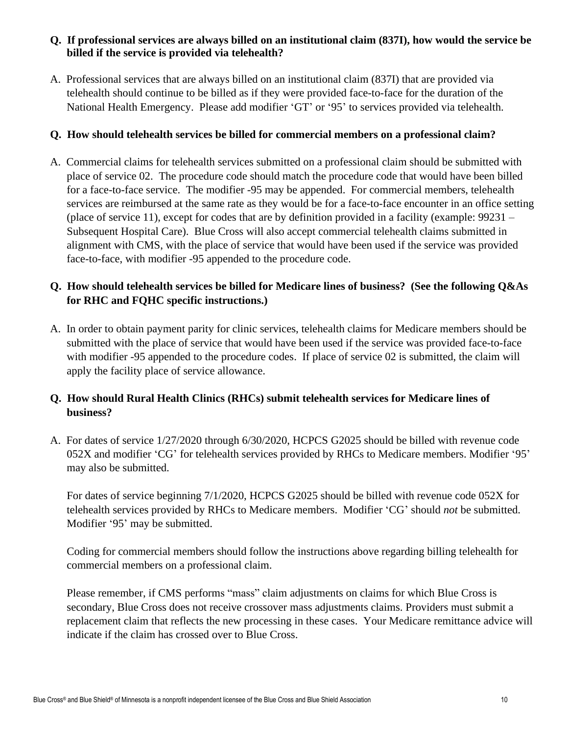#### **Q. If professional services are always billed on an institutional claim (837I), how would the service be billed if the service is provided via telehealth?**

A. Professional services that are always billed on an institutional claim (837I) that are provided via telehealth should continue to be billed as if they were provided face-to-face for the duration of the National Health Emergency. Please add modifier 'GT' or '95' to services provided via telehealth.

## **Q. How should telehealth services be billed for commercial members on a professional claim?**

A. Commercial claims for telehealth services submitted on a professional claim should be submitted with place of service 02. The procedure code should match the procedure code that would have been billed for a face-to-face service. The modifier -95 may be appended. For commercial members, telehealth services are reimbursed at the same rate as they would be for a face-to-face encounter in an office setting (place of service 11), except for codes that are by definition provided in a facility (example: 99231 – Subsequent Hospital Care). Blue Cross will also accept commercial telehealth claims submitted in alignment with CMS, with the place of service that would have been used if the service was provided face-to-face, with modifier -95 appended to the procedure code.

# **Q. How should telehealth services be billed for Medicare lines of business? (See the following Q&As for RHC and FQHC specific instructions.)**

A. In order to obtain payment parity for clinic services, telehealth claims for Medicare members should be submitted with the place of service that would have been used if the service was provided face-to-face with modifier -95 appended to the procedure codes. If place of service 02 is submitted, the claim will apply the facility place of service allowance.

# **Q. How should Rural Health Clinics (RHCs) submit telehealth services for Medicare lines of business?**

A. For dates of service 1/27/2020 through 6/30/2020, HCPCS G2025 should be billed with revenue code 052X and modifier 'CG' for telehealth services provided by RHCs to Medicare members. Modifier '95' may also be submitted.

For dates of service beginning 7/1/2020, HCPCS G2025 should be billed with revenue code 052X for telehealth services provided by RHCs to Medicare members. Modifier 'CG' should *not* be submitted. Modifier '95' may be submitted.

Coding for commercial members should follow the instructions above regarding billing telehealth for commercial members on a professional claim.

Please remember, if CMS performs "mass" claim adjustments on claims for which Blue Cross is secondary, Blue Cross does not receive crossover mass adjustments claims. Providers must submit a replacement claim that reflects the new processing in these cases. Your Medicare remittance advice will indicate if the claim has crossed over to Blue Cross.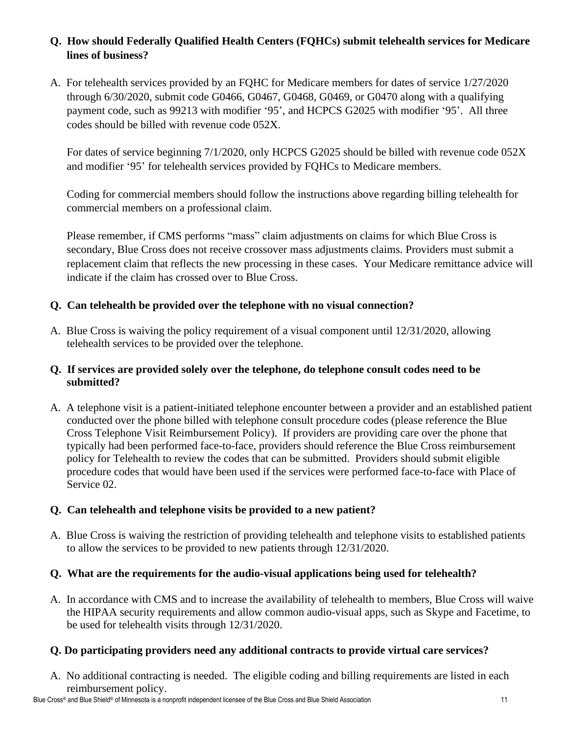# **Q. How should Federally Qualified Health Centers (FQHCs) submit telehealth services for Medicare lines of business?**

A. For telehealth services provided by an FQHC for Medicare members for dates of service 1/27/2020 through 6/30/2020, submit code G0466, G0467, G0468, G0469, or G0470 along with a qualifying payment code, such as 99213 with modifier '95', and HCPCS G2025 with modifier '95'. All three codes should be billed with revenue code 052X.

For dates of service beginning 7/1/2020, only HCPCS G2025 should be billed with revenue code 052X and modifier '95' for telehealth services provided by FQHCs to Medicare members.

Coding for commercial members should follow the instructions above regarding billing telehealth for commercial members on a professional claim.

Please remember, if CMS performs "mass" claim adjustments on claims for which Blue Cross is secondary, Blue Cross does not receive crossover mass adjustments claims. Providers must submit a replacement claim that reflects the new processing in these cases. Your Medicare remittance advice will indicate if the claim has crossed over to Blue Cross.

## **Q. Can telehealth be provided over the telephone with no visual connection?**

A. Blue Cross is waiving the policy requirement of a visual component until 12/31/2020, allowing telehealth services to be provided over the telephone.

## **Q. If services are provided solely over the telephone, do telephone consult codes need to be submitted?**

A. A telephone visit is a patient-initiated telephone encounter between a provider and an established patient conducted over the phone billed with telephone consult procedure codes (please reference the Blue Cross Telephone Visit Reimbursement Policy). If providers are providing care over the phone that typically had been performed face-to-face, providers should reference the Blue Cross reimbursement policy for Telehealth to review the codes that can be submitted. Providers should submit eligible procedure codes that would have been used if the services were performed face-to-face with Place of Service 02.

## **Q. Can telehealth and telephone visits be provided to a new patient?**

A. Blue Cross is waiving the restriction of providing telehealth and telephone visits to established patients to allow the services to be provided to new patients through 12/31/2020.

## **Q. What are the requirements for the audio-visual applications being used for telehealth?**

A. In accordance with CMS and to increase the availability of telehealth to members, Blue Cross will waive the HIPAA security requirements and allow common audio-visual apps, such as Skype and Facetime, to be used for telehealth visits through 12/31/2020.

## **Q. Do participating providers need any additional contracts to provide virtual care services?**

A. No additional contracting is needed. The eligible coding and billing requirements are listed in each reimbursement policy.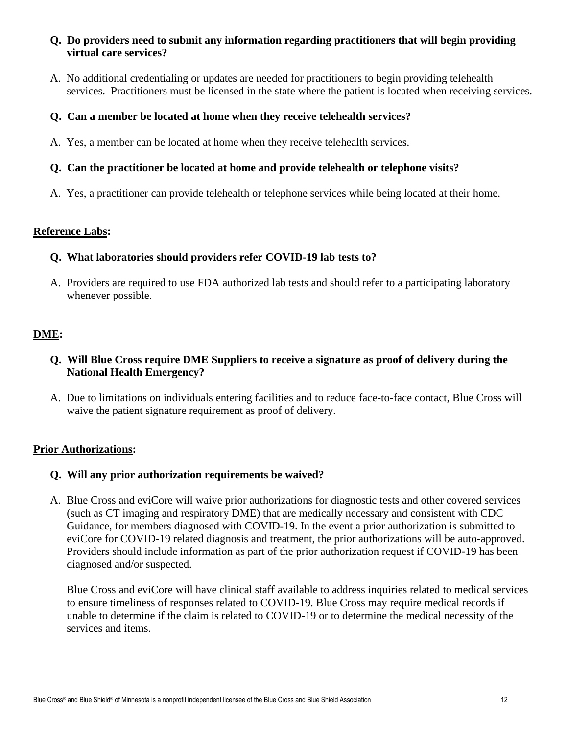#### **Q. Do providers need to submit any information regarding practitioners that will begin providing virtual care services?**

A. No additional credentialing or updates are needed for practitioners to begin providing telehealth services. Practitioners must be licensed in the state where the patient is located when receiving services.

## **Q. Can a member be located at home when they receive telehealth services?**

A. Yes, a member can be located at home when they receive telehealth services.

#### **Q. Can the practitioner be located at home and provide telehealth or telephone visits?**

A. Yes, a practitioner can provide telehealth or telephone services while being located at their home.

#### **Reference Labs:**

#### **Q. What laboratories should providers refer COVID-19 lab tests to?**

A. Providers are required to use FDA authorized lab tests and should refer to a participating laboratory whenever possible.

## **DME:**

## **Q. Will Blue Cross require DME Suppliers to receive a signature as proof of delivery during the National Health Emergency?**

A. Due to limitations on individuals entering facilities and to reduce face-to-face contact, Blue Cross will waive the patient signature requirement as proof of delivery.

## **Prior Authorizations:**

## **Q. Will any prior authorization requirements be waived?**

A. Blue Cross and eviCore will waive prior authorizations for diagnostic tests and other covered services (such as CT imaging and respiratory DME) that are medically necessary and consistent with CDC Guidance, for members diagnosed with COVID-19. In the event a prior authorization is submitted to eviCore for COVID-19 related diagnosis and treatment, the prior authorizations will be auto-approved. Providers should include information as part of the prior authorization request if COVID-19 has been diagnosed and/or suspected.

Blue Cross and eviCore will have clinical staff available to address inquiries related to medical services to ensure timeliness of responses related to COVID-19. Blue Cross may require medical records if unable to determine if the claim is related to COVID-19 or to determine the medical necessity of the services and items.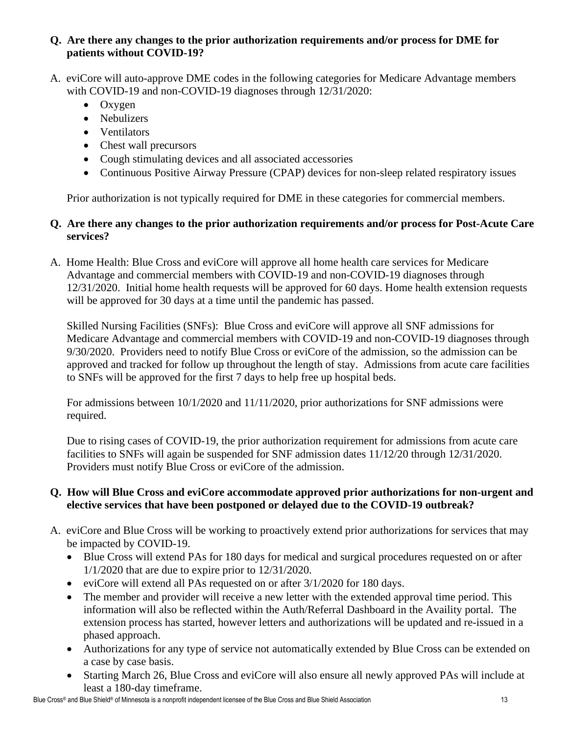## **Q. Are there any changes to the prior authorization requirements and/or process for DME for patients without COVID-19?**

- A. eviCore will auto-approve DME codes in the following categories for Medicare Advantage members with COVID-19 and non-COVID-19 diagnoses through 12/31/2020:
	- Oxygen
	- Nebulizers
	- Ventilators
	- Chest wall precursors
	- Cough stimulating devices and all associated accessories
	- Continuous Positive Airway Pressure (CPAP) devices for non-sleep related respiratory issues

Prior authorization is not typically required for DME in these categories for commercial members.

# **Q. Are there any changes to the prior authorization requirements and/or process for Post-Acute Care services?**

A. Home Health: Blue Cross and eviCore will approve all home health care services for Medicare Advantage and commercial members with COVID-19 and non-COVID-19 diagnoses through 12/31/2020. Initial home health requests will be approved for 60 days. Home health extension requests will be approved for 30 days at a time until the pandemic has passed.

Skilled Nursing Facilities (SNFs): Blue Cross and eviCore will approve all SNF admissions for Medicare Advantage and commercial members with COVID-19 and non-COVID-19 diagnoses through 9/30/2020. Providers need to notify Blue Cross or eviCore of the admission, so the admission can be approved and tracked for follow up throughout the length of stay. Admissions from acute care facilities to SNFs will be approved for the first 7 days to help free up hospital beds.

For admissions between 10/1/2020 and 11/11/2020, prior authorizations for SNF admissions were required.

Due to rising cases of COVID-19, the prior authorization requirement for admissions from acute care facilities to SNFs will again be suspended for SNF admission dates 11/12/20 through 12/31/2020. Providers must notify Blue Cross or eviCore of the admission.

# **Q. How will Blue Cross and eviCore accommodate approved prior authorizations for non-urgent and elective services that have been postponed or delayed due to the COVID-19 outbreak?**

- A. eviCore and Blue Cross will be working to proactively extend prior authorizations for services that may be impacted by COVID-19.
	- Blue Cross will extend PAs for 180 days for medical and surgical procedures requested on or after 1/1/2020 that are due to expire prior to 12/31/2020.
	- eviCore will extend all PAs requested on or after  $3/1/2020$  for 180 days.
	- The member and provider will receive a new letter with the extended approval time period. This information will also be reflected within the Auth/Referral Dashboard in the Availity portal. The extension process has started, however letters and authorizations will be updated and re-issued in a phased approach.
	- Authorizations for any type of service not automatically extended by Blue Cross can be extended on a case by case basis.
	- Starting March 26, Blue Cross and eviCore will also ensure all newly approved PAs will include at least a 180-day timeframe.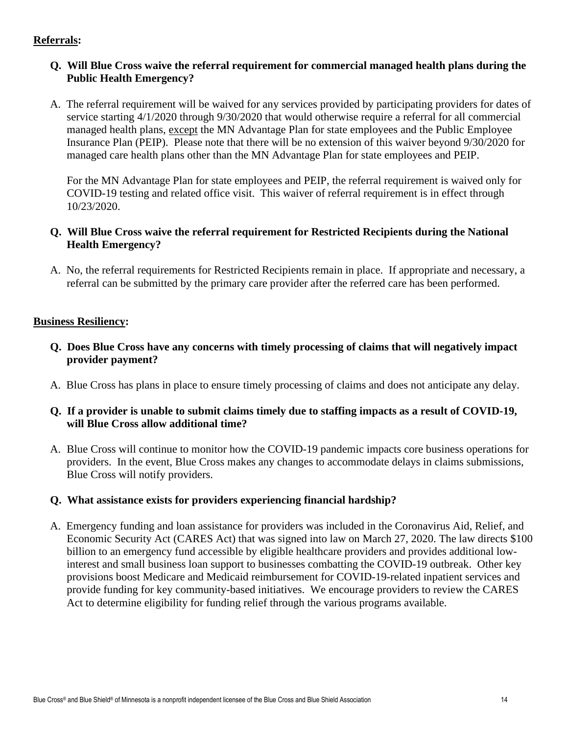## **Referrals:**

## **Q. Will Blue Cross waive the referral requirement for commercial managed health plans during the Public Health Emergency?**

A. The referral requirement will be waived for any services provided by participating providers for dates of service starting 4/1/2020 through 9/30/2020 that would otherwise require a referral for all commercial managed health plans, except the MN Advantage Plan for state employees and the Public Employee Insurance Plan (PEIP). Please note that there will be no extension of this waiver beyond 9/30/2020 for managed care health plans other than the MN Advantage Plan for state employees and PEIP.

For the MN Advantage Plan for state employees and PEIP, the referral requirement is waived only for COVID-19 testing and related office visit. This waiver of referral requirement is in effect through 10/23/2020.

## **Q. Will Blue Cross waive the referral requirement for Restricted Recipients during the National Health Emergency?**

A. No, the referral requirements for Restricted Recipients remain in place. If appropriate and necessary, a referral can be submitted by the primary care provider after the referred care has been performed.

## **Business Resiliency:**

- **Q. Does Blue Cross have any concerns with timely processing of claims that will negatively impact provider payment?**
- A. Blue Cross has plans in place to ensure timely processing of claims and does not anticipate any delay.
- **Q. If a provider is unable to submit claims timely due to staffing impacts as a result of COVID-19, will Blue Cross allow additional time?**
- A. Blue Cross will continue to monitor how the COVID-19 pandemic impacts core business operations for providers. In the event, Blue Cross makes any changes to accommodate delays in claims submissions, Blue Cross will notify providers.

## **Q. What assistance exists for providers experiencing financial hardship?**

A. Emergency funding and loan assistance for providers was included in the Coronavirus Aid, Relief, and Economic Security Act (CARES Act) that was signed into law on March 27, 2020. The law directs \$100 billion to an emergency fund accessible by eligible healthcare providers and provides additional lowinterest and small business loan support to businesses combatting the COVID-19 outbreak. Other key provisions boost Medicare and Medicaid reimbursement for COVID-19-related inpatient services and provide funding for key community-based initiatives. We encourage providers to review the CARES Act to determine eligibility for funding relief through the various programs available.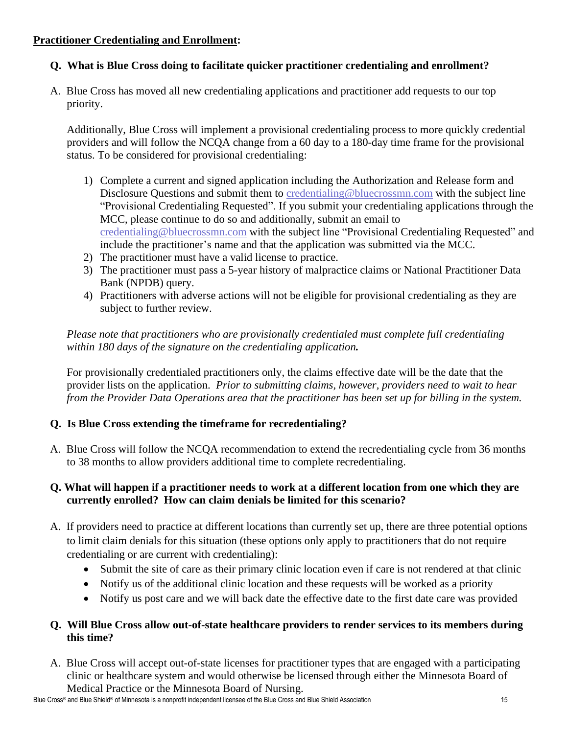## **Practitioner Credentialing and Enrollment:**

# **Q. What is Blue Cross doing to facilitate quicker practitioner credentialing and enrollment?**

A. Blue Cross has moved all new credentialing applications and practitioner add requests to our top priority.

Additionally, Blue Cross will implement a provisional credentialing process to more quickly credential providers and will follow the NCQA change from a 60 day to a 180-day time frame for the provisional status. To be considered for provisional credentialing:

- 1) Complete a current and signed application including the Authorization and Release form and Disclosure Questions and submit them to [credentialing@bluecrossmn.com](mailto:credentialing@bluecrossmn.com) with the subject line "Provisional Credentialing Requested". If you submit your credentialing applications through the MCC, please continue to do so and additionally, submit an email to [credentialing@bluecrossmn.com](mailto:credentialing@bluecrossmn.com) with the subject line "Provisional Credentialing Requested" and include the practitioner's name and that the application was submitted via the MCC.
- 2) The practitioner must have a valid license to practice.
- 3) The practitioner must pass a 5-year history of malpractice claims or National Practitioner Data Bank (NPDB) query.
- 4) Practitioners with adverse actions will not be eligible for provisional credentialing as they are subject to further review.

*Please note that practitioners who are provisionally credentialed must complete full credentialing within 180 days of the signature on the credentialing application.*

For provisionally credentialed practitioners only, the claims effective date will be the date that the provider lists on the application. *Prior to submitting claims, however, providers need to wait to hear from the Provider Data Operations area that the practitioner has been set up for billing in the system.*

# **Q. Is Blue Cross extending the timeframe for recredentialing?**

A. Blue Cross will follow the NCQA recommendation to extend the recredentialing cycle from 36 months to 38 months to allow providers additional time to complete recredentialing.

# **Q. What will happen if a practitioner needs to work at a different location from one which they are currently enrolled? How can claim denials be limited for this scenario?**

- A. If providers need to practice at different locations than currently set up, there are three potential options to limit claim denials for this situation (these options only apply to practitioners that do not require credentialing or are current with credentialing):
	- Submit the site of care as their primary clinic location even if care is not rendered at that clinic
	- Notify us of the additional clinic location and these requests will be worked as a priority
	- Notify us post care and we will back date the effective date to the first date care was provided

## **Q. Will Blue Cross allow out-of-state healthcare providers to render services to its members during this time?**

A. Blue Cross will accept out-of-state licenses for practitioner types that are engaged with a participating clinic or healthcare system and would otherwise be licensed through either the Minnesota Board of Medical Practice or the Minnesota Board of Nursing.